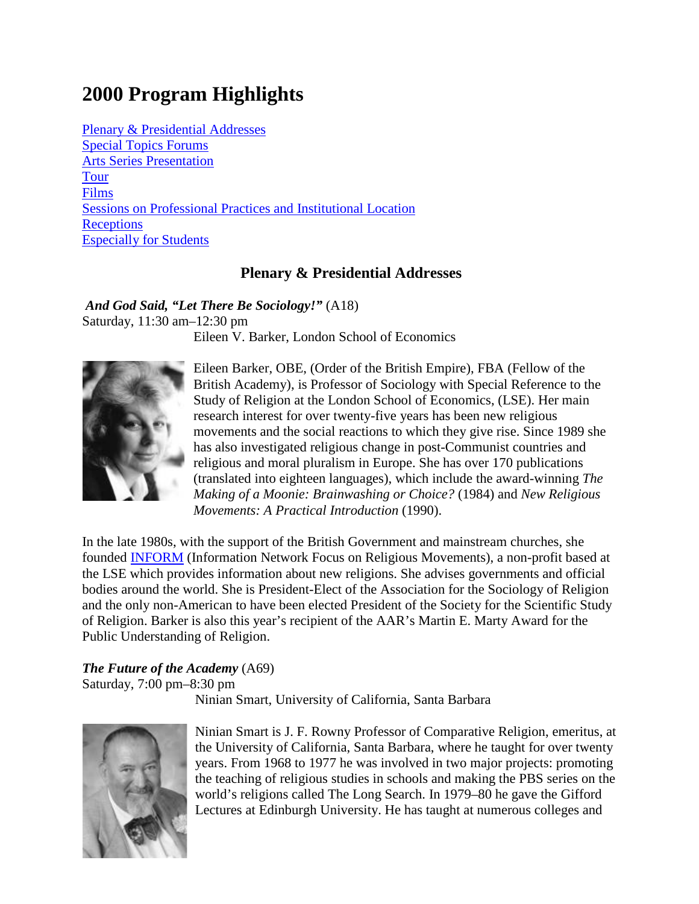# **2000 Program Highlights**

Plenary & Presidential Addresses Special Topics Forums Arts Series Presentation Tour Films Sessions on Professional Practices and Institutional Location **Receptions** Especially for Students

# **Plenary & Presidential Addresses**

*And God Said, "Let There Be Sociology!"* (A18) Saturday, 11:30 am–12:30 pm Eileen V. Barker, London School of Economics



Eileen Barker, OBE, (Order of the British Empire), FBA (Fellow of the British Academy), is Professor of Sociology with Special Reference to the Study of Religion at the London School of Economics, (LSE). Her main research interest for over twenty-five years has been new religious movements and the social reactions to which they give rise. Since 1989 she has also investigated religious change in post-Communist countries and religious and moral pluralism in Europe. She has over 170 publications (translated into eighteen languages), which include the award-winning *The Making of a Moonie: Brainwashing or Choice?* (1984) and *New Religious Movements: A Practical Introduction* (1990).

In the late 1980s, with the support of the British Government and mainstream churches, she founded INFORM (Information Network Focus on Religious Movements), a non-profit based at the LSE which provides information about new religions. She advises governments and official bodies around the world. She is President-Elect of the Association for the Sociology of Religion and the only non-American to have been elected President of the Society for the Scientific Study of Religion. Barker is also this year's recipient of the AAR's Martin E. Marty Award for the Public Understanding of Religion.

# *The Future of the Academy* (A69)

Saturday, 7:00 pm–8:30 pm

Ninian Smart, University of California, Santa Barbara



Ninian Smart is J. F. Rowny Professor of Comparative Religion, emeritus, at the University of California, Santa Barbara, where he taught for over twenty years. From 1968 to 1977 he was involved in two major projects: promoting the teaching of religious studies in schools and making the PBS series on the world's religions called The Long Search. In 1979–80 he gave the Gifford Lectures at Edinburgh University. He has taught at numerous colleges and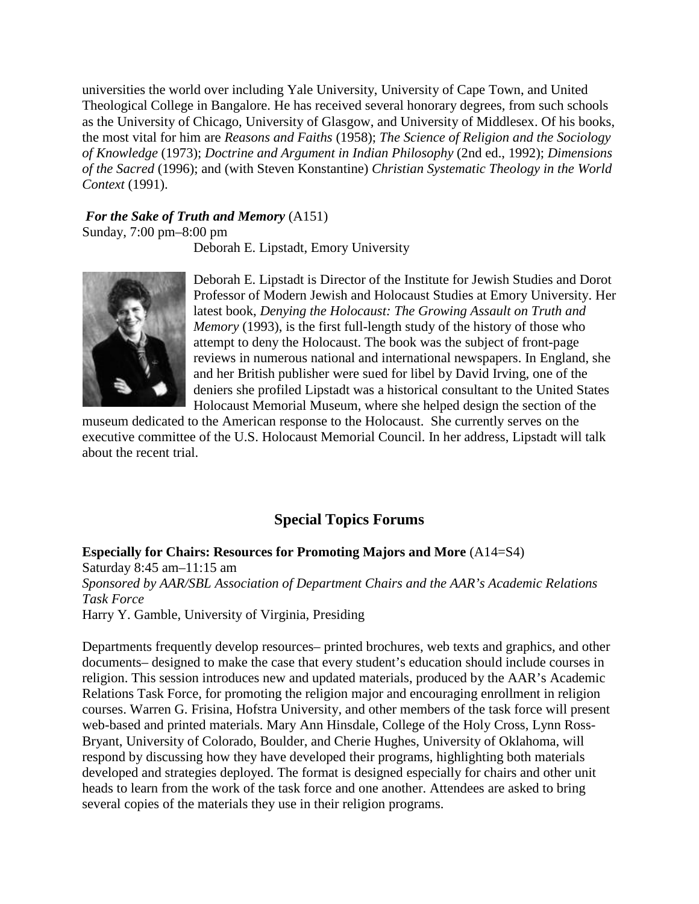universities the world over including Yale University, University of Cape Town, and United Theological College in Bangalore. He has received several honorary degrees, from such schools as the University of Chicago, University of Glasgow, and University of Middlesex. Of his books, the most vital for him are *Reasons and Faiths* (1958); *The Science of Religion and the Sociology of Knowledge* (1973); *Doctrine and Argument in Indian Philosophy* (2nd ed., 1992); *Dimensions of the Sacred* (1996); and (with Steven Konstantine) *Christian Systematic Theology in the World Context* (1991).

#### *For the Sake of Truth and Memory* (A151)

Sunday, 7:00 pm–8:00 pm

Deborah E. Lipstadt, Emory University



Deborah E. Lipstadt is Director of the Institute for Jewish Studies and Dorot Professor of Modern Jewish and Holocaust Studies at Emory University. Her latest book, *Denying the Holocaust: The Growing Assault on Truth and Memory* (1993), is the first full-length study of the history of those who attempt to deny the Holocaust. The book was the subject of front-page reviews in numerous national and international newspapers. In England, she and her British publisher were sued for libel by David Irving, one of the deniers she profiled Lipstadt was a historical consultant to the United States Holocaust Memorial Museum, where she helped design the section of the

museum dedicated to the American response to the Holocaust. She currently serves on the executive committee of the U.S. Holocaust Memorial Council. In her address, Lipstadt will talk about the recent trial.

# **Special Topics Forums**

**Especially for Chairs: Resources for Promoting Majors and More** (A14=S4) Saturday 8:45 am–11:15 am *Sponsored by AAR/SBL Association of Department Chairs and the AAR's Academic Relations Task Force* Harry Y. Gamble, University of Virginia, Presiding

Departments frequently develop resources– printed brochures, web texts and graphics, and other documents– designed to make the case that every student's education should include courses in religion. This session introduces new and updated materials, produced by the AAR's Academic Relations Task Force, for promoting the religion major and encouraging enrollment in religion courses. Warren G. Frisina, Hofstra University, and other members of the task force will present web-based and printed materials. Mary Ann Hinsdale, College of the Holy Cross, Lynn Ross-Bryant, University of Colorado, Boulder, and Cherie Hughes, University of Oklahoma, will respond by discussing how they have developed their programs, highlighting both materials developed and strategies deployed. The format is designed especially for chairs and other unit heads to learn from the work of the task force and one another. Attendees are asked to bring several copies of the materials they use in their religion programs.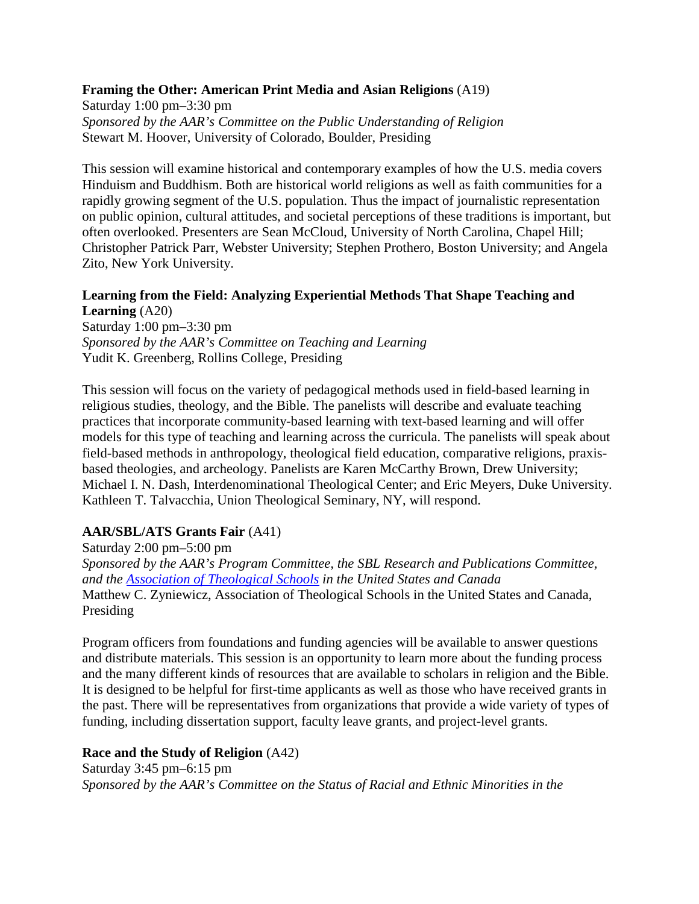#### **Framing the Other: American Print Media and Asian Religions** (A19)

Saturday 1:00 pm–3:30 pm *Sponsored by the AAR's Committee on the Public Understanding of Religion* Stewart M. Hoover, University of Colorado, Boulder, Presiding

This session will examine historical and contemporary examples of how the U.S. media covers Hinduism and Buddhism. Both are historical world religions as well as faith communities for a rapidly growing segment of the U.S. population. Thus the impact of journalistic representation on public opinion, cultural attitudes, and societal perceptions of these traditions is important, but often overlooked. Presenters are Sean McCloud, University of North Carolina, Chapel Hill; Christopher Patrick Parr, Webster University; Stephen Prothero, Boston University; and Angela Zito, New York University.

#### **Learning from the Field: Analyzing Experiential Methods That Shape Teaching and Learning** (A20)

Saturday 1:00 pm–3:30 pm *Sponsored by the AAR's Committee on Teaching and Learning* Yudit K. Greenberg, Rollins College, Presiding

This session will focus on the variety of pedagogical methods used in field-based learning in religious studies, theology, and the Bible. The panelists will describe and evaluate teaching practices that incorporate community-based learning with text-based learning and will offer models for this type of teaching and learning across the curricula. The panelists will speak about field-based methods in anthropology, theological field education, comparative religions, praxisbased theologies, and archeology. Panelists are Karen McCarthy Brown, Drew University; Michael I. N. Dash, Interdenominational Theological Center; and Eric Meyers, Duke University. Kathleen T. Talvacchia, Union Theological Seminary, NY, will respond.

## **AAR/SBL/ATS Grants Fair** (A41)

Saturday 2:00 pm–5:00 pm *Sponsored by the AAR's Program Committee, the SBL Research and Publications Committee, and the Association of Theological Schools in the United States and Canada* Matthew C. Zyniewicz, Association of Theological Schools in the United States and Canada, Presiding

Program officers from foundations and funding agencies will be available to answer questions and distribute materials. This session is an opportunity to learn more about the funding process and the many different kinds of resources that are available to scholars in religion and the Bible. It is designed to be helpful for first-time applicants as well as those who have received grants in the past. There will be representatives from organizations that provide a wide variety of types of funding, including dissertation support, faculty leave grants, and project-level grants.

## **Race and the Study of Religion** (A42)

Saturday 3:45 pm–6:15 pm *Sponsored by the AAR's Committee on the Status of Racial and Ethnic Minorities in the*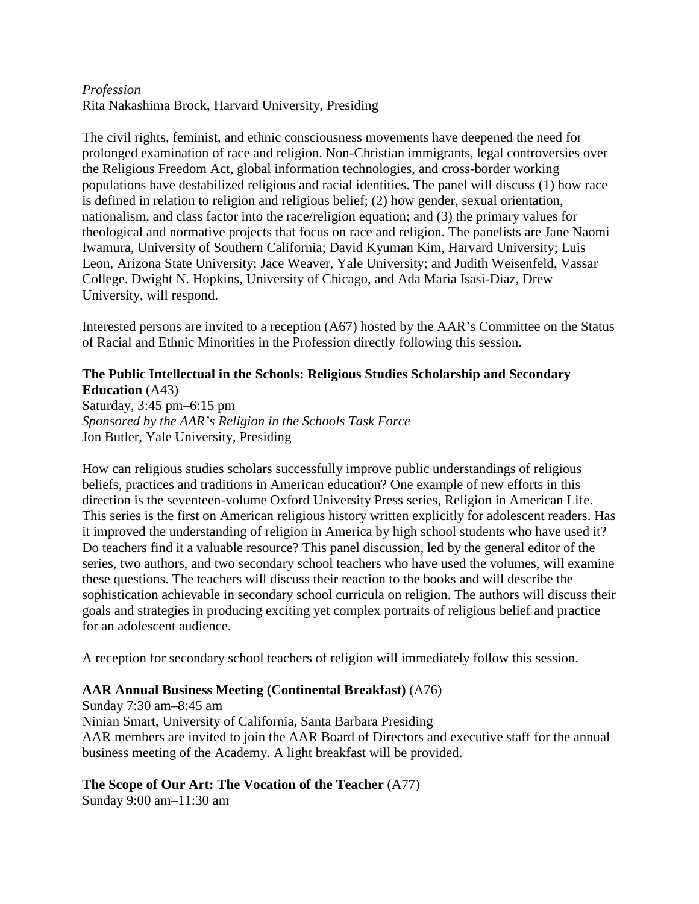#### *Profession* Rita Nakashima Brock, Harvard University, Presiding

The civil rights, feminist, and ethnic consciousness movements have deepened the need for prolonged examination of race and religion. Non-Christian immigrants, legal controversies over the Religious Freedom Act, global information technologies, and cross-border working populations have destabilized religious and racial identities. The panel will discuss (1) how race is defined in relation to religion and religious belief; (2) how gender, sexual orientation, nationalism, and class factor into the race/religion equation; and (3) the primary values for theological and normative projects that focus on race and religion. The panelists are Jane Naomi Iwamura, University of Southern California; David Kyuman Kim, Harvard University; Luis Leon, Arizona State University; Jace Weaver, Yale University; and Judith Weisenfeld, Vassar College. Dwight N. Hopkins, University of Chicago, and Ada Maria Isasi-Diaz, Drew University, will respond.

Interested persons are invited to a reception (A67) hosted by the AAR's Committee on the Status of Racial and Ethnic Minorities in the Profession directly following this session.

#### **The Public Intellectual in the Schools: Religious Studies Scholarship and Secondary Education** (A43)

Saturday, 3:45 pm–6:15 pm *Sponsored by the AAR's Religion in the Schools Task Force* Jon Butler, Yale University, Presiding

How can religious studies scholars successfully improve public understandings of religious beliefs, practices and traditions in American education? One example of new efforts in this direction is the seventeen-volume Oxford University Press series, Religion in American Life. This series is the first on American religious history written explicitly for adolescent readers. Has it improved the understanding of religion in America by high school students who have used it? Do teachers find it a valuable resource? This panel discussion, led by the general editor of the series, two authors, and two secondary school teachers who have used the volumes, will examine these questions. The teachers will discuss their reaction to the books and will describe the sophistication achievable in secondary school curricula on religion. The authors will discuss their goals and strategies in producing exciting yet complex portraits of religious belief and practice for an adolescent audience.

A reception for secondary school teachers of religion will immediately follow this session.

## **AAR Annual Business Meeting (Continental Breakfast)** (A76)

Sunday 7:30 am–8:45 am Ninian Smart, University of California, Santa Barbara Presiding AAR members are invited to join the AAR Board of Directors and executive staff for the annual business meeting of the Academy. A light breakfast will be provided.

## **The Scope of Our Art: The Vocation of the Teacher** (A77)

Sunday 9:00 am–11:30 am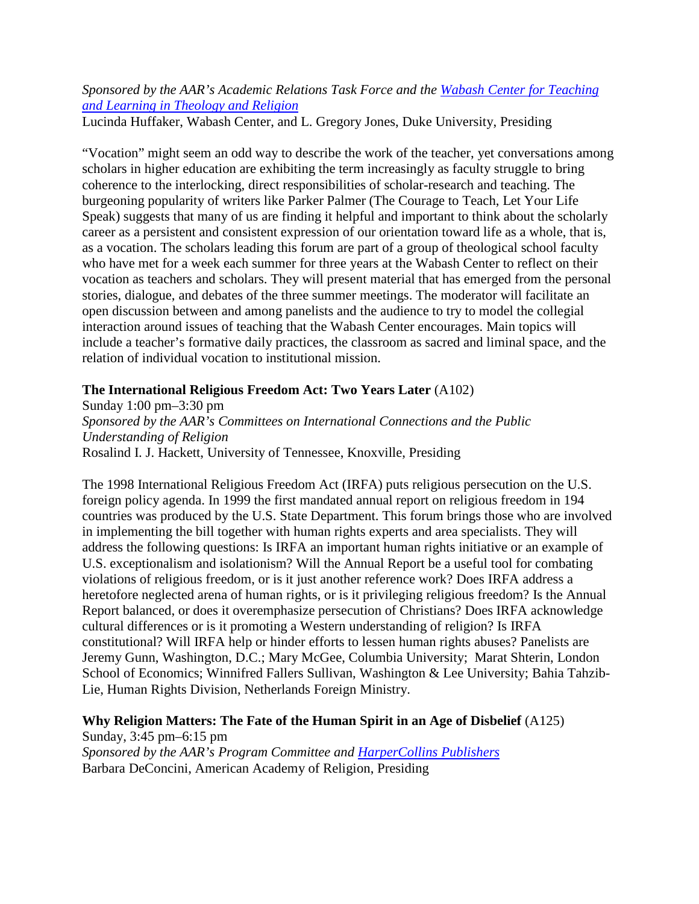# *Sponsored by the AAR's Academic Relations Task Force and the Wabash Center for Teaching and Learning in Theology and Religion*

Lucinda Huffaker, Wabash Center, and L. Gregory Jones, Duke University, Presiding

"Vocation" might seem an odd way to describe the work of the teacher, yet conversations among scholars in higher education are exhibiting the term increasingly as faculty struggle to bring coherence to the interlocking, direct responsibilities of scholar-research and teaching. The burgeoning popularity of writers like Parker Palmer (The Courage to Teach, Let Your Life Speak) suggests that many of us are finding it helpful and important to think about the scholarly career as a persistent and consistent expression of our orientation toward life as a whole, that is, as a vocation. The scholars leading this forum are part of a group of theological school faculty who have met for a week each summer for three years at the Wabash Center to reflect on their vocation as teachers and scholars. They will present material that has emerged from the personal stories, dialogue, and debates of the three summer meetings. The moderator will facilitate an open discussion between and among panelists and the audience to try to model the collegial interaction around issues of teaching that the Wabash Center encourages. Main topics will include a teacher's formative daily practices, the classroom as sacred and liminal space, and the relation of individual vocation to institutional mission.

# **The International Religious Freedom Act: Two Years Later** (A102)

Sunday 1:00 pm–3:30 pm *Sponsored by the AAR's Committees on International Connections and the Public Understanding of Religion* Rosalind I. J. Hackett, University of Tennessee, Knoxville, Presiding

The 1998 International Religious Freedom Act (IRFA) puts religious persecution on the U.S. foreign policy agenda. In 1999 the first mandated annual report on religious freedom in 194 countries was produced by the U.S. State Department. This forum brings those who are involved in implementing the bill together with human rights experts and area specialists. They will address the following questions: Is IRFA an important human rights initiative or an example of U.S. exceptionalism and isolationism? Will the Annual Report be a useful tool for combating violations of religious freedom, or is it just another reference work? Does IRFA address a heretofore neglected arena of human rights, or is it privileging religious freedom? Is the Annual Report balanced, or does it overemphasize persecution of Christians? Does IRFA acknowledge cultural differences or is it promoting a Western understanding of religion? Is IRFA constitutional? Will IRFA help or hinder efforts to lessen human rights abuses? Panelists are Jeremy Gunn, Washington, D.C.; Mary McGee, Columbia University; Marat Shterin, London School of Economics; Winnifred Fallers Sullivan, Washington & Lee University; Bahia Tahzib-Lie, Human Rights Division, Netherlands Foreign Ministry.

## **Why Religion Matters: The Fate of the Human Spirit in an Age of Disbelief** (A125)

Sunday, 3:45 pm–6:15 pm *Sponsored by the AAR's Program Committee and HarperCollins Publishers* Barbara DeConcini, American Academy of Religion, Presiding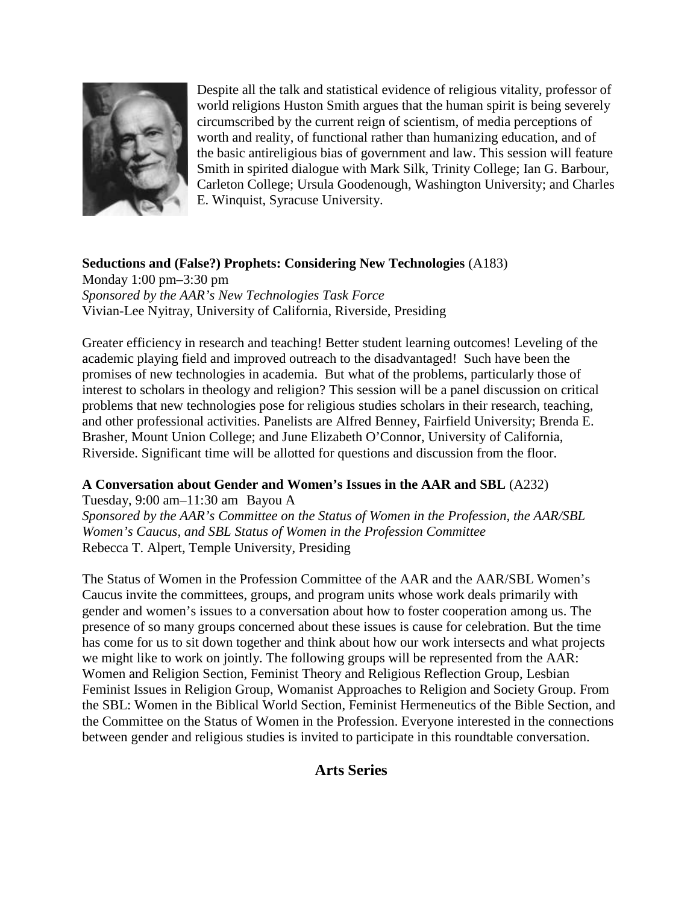

Despite all the talk and statistical evidence of religious vitality, professor of world religions Huston Smith argues that the human spirit is being severely circumscribed by the current reign of scientism, of media perceptions of worth and reality, of functional rather than humanizing education, and of the basic antireligious bias of government and law. This session will feature Smith in spirited dialogue with Mark Silk, Trinity College; Ian G. Barbour, Carleton College; Ursula Goodenough, Washington University; and Charles E. Winquist, Syracuse University.

# **Seductions and (False?) Prophets: Considering New Technologies** (A183)

Monday 1:00 pm–3:30 pm *Sponsored by the AAR's New Technologies Task Force* Vivian-Lee Nyitray, University of California, Riverside, Presiding

Greater efficiency in research and teaching! Better student learning outcomes! Leveling of the academic playing field and improved outreach to the disadvantaged! Such have been the promises of new technologies in academia. But what of the problems, particularly those of interest to scholars in theology and religion? This session will be a panel discussion on critical problems that new technologies pose for religious studies scholars in their research, teaching, and other professional activities. Panelists are Alfred Benney, Fairfield University; Brenda E. Brasher, Mount Union College; and June Elizabeth O'Connor, University of California, Riverside. Significant time will be allotted for questions and discussion from the floor.

## **A Conversation about Gender and Women's Issues in the AAR and SBL** (A232)

Tuesday, 9:00 am–11:30 am Bayou A *Sponsored by the AAR's Committee on the Status of Women in the Profession, the AAR/SBL Women's Caucus, and SBL Status of Women in the Profession Committee* Rebecca T. Alpert, Temple University, Presiding

The Status of Women in the Profession Committee of the AAR and the AAR/SBL Women's Caucus invite the committees, groups, and program units whose work deals primarily with gender and women's issues to a conversation about how to foster cooperation among us. The presence of so many groups concerned about these issues is cause for celebration. But the time has come for us to sit down together and think about how our work intersects and what projects we might like to work on jointly. The following groups will be represented from the AAR: Women and Religion Section, Feminist Theory and Religious Reflection Group, Lesbian Feminist Issues in Religion Group, Womanist Approaches to Religion and Society Group. From the SBL: Women in the Biblical World Section, Feminist Hermeneutics of the Bible Section, and the Committee on the Status of Women in the Profession. Everyone interested in the connections between gender and religious studies is invited to participate in this roundtable conversation.

# **Arts Series**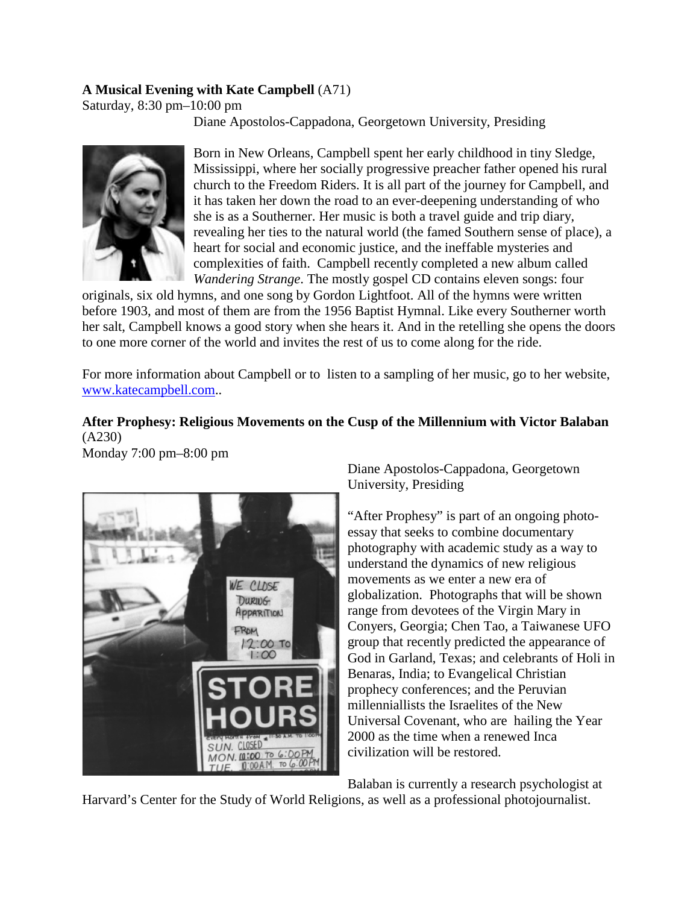# **A Musical Evening with Kate Campbell** (A71)

Saturday, 8:30 pm–10:00 pm

Diane Apostolos-Cappadona, Georgetown University, Presiding



Born in New Orleans, Campbell spent her early childhood in tiny Sledge, Mississippi, where her socially progressive preacher father opened his rural church to the Freedom Riders. It is all part of the journey for Campbell, and it has taken her down the road to an ever-deepening understanding of who she is as a Southerner. Her music is both a travel guide and trip diary, revealing her ties to the natural world (the famed Southern sense of place), a heart for social and economic justice, and the ineffable mysteries and complexities of faith. Campbell recently completed a new album called *Wandering Strange*. The mostly gospel CD contains eleven songs: four

originals, six old hymns, and one song by Gordon Lightfoot. All of the hymns were written before 1903, and most of them are from the 1956 Baptist Hymnal. Like every Southerner worth her salt, Campbell knows a good story when she hears it. And in the retelling she opens the doors to one more corner of the world and invites the rest of us to come along for the ride.

For more information about Campbell or to listen to a sampling of her music, go to her website, www.katecampbell.com..

# **After Prophesy: Religious Movements on the Cusp of the Millennium with Victor Balaban** (A230)

Monday 7:00 pm–8:00 pm



Diane Apostolos-Cappadona, Georgetown University, Presiding

"After Prophesy" is part of an ongoing photoessay that seeks to combine documentary photography with academic study as a way to understand the dynamics of new religious movements as we enter a new era of globalization. Photographs that will be shown range from devotees of the Virgin Mary in Conyers, Georgia; Chen Tao, a Taiwanese UFO group that recently predicted the appearance of God in Garland, Texas; and celebrants of Holi in Benaras, India; to Evangelical Christian prophecy conferences; and the Peruvian millenniallists the Israelites of the New Universal Covenant, who are hailing the Year 2000 as the time when a renewed Inca civilization will be restored.

Balaban is currently a research psychologist at

Harvard's Center for the Study of World Religions, as well as a professional photojournalist.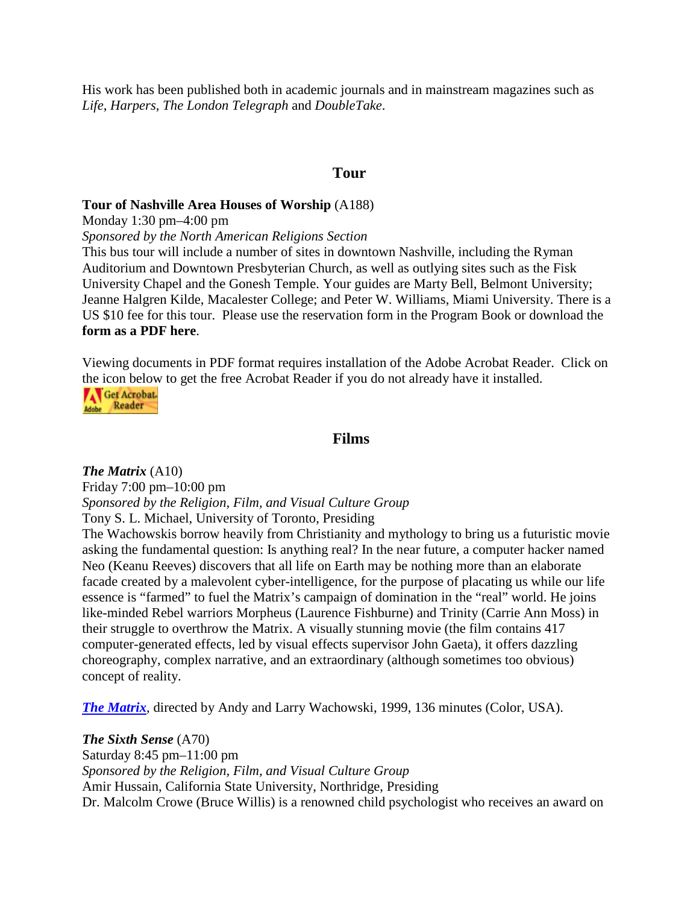His work has been published both in academic journals and in mainstream magazines such as *Life*, *Harpers*, *The London Telegraph* and *DoubleTake*.

#### **Tour**

#### **Tour of Nashville Area Houses of Worship** (A188)

Monday 1:30 pm–4:00 pm

*Sponsored by the North American Religions Section*

This bus tour will include a number of sites in downtown Nashville, including the Ryman Auditorium and Downtown Presbyterian Church, as well as outlying sites such as the Fisk University Chapel and the Gonesh Temple. Your guides are Marty Bell, Belmont University; Jeanne Halgren Kilde, Macalester College; and Peter W. Williams, Miami University. There is a US \$10 fee for this tour. Please use the reservation form in the Program Book or download the **form as a PDF here**.

Viewing documents in PDF format requires installation of the Adobe Acrobat Reader. Click on the icon below to get the free Acrobat Reader if you do not already have it installed.



# **Films**

#### *The Matrix* (A10)

Friday 7:00 pm–10:00 pm *Sponsored by the Religion, Film, and Visual Culture Group*

Tony S. L. Michael, University of Toronto, Presiding

The Wachowskis borrow heavily from Christianity and mythology to bring us a futuristic movie asking the fundamental question: Is anything real? In the near future, a computer hacker named Neo (Keanu Reeves) discovers that all life on Earth may be nothing more than an elaborate facade created by a malevolent cyber-intelligence, for the purpose of placating us while our life essence is "farmed" to fuel the Matrix's campaign of domination in the "real" world. He joins like-minded Rebel warriors Morpheus (Laurence Fishburne) and Trinity (Carrie Ann Moss) in their struggle to overthrow the Matrix. A visually stunning movie (the film contains 417 computer-generated effects, led by visual effects supervisor John Gaeta), it offers dazzling choreography, complex narrative, and an extraordinary (although sometimes too obvious) concept of reality.

*The Matrix*, directed by Andy and Larry Wachowski, 1999, 136 minutes (Color, USA).

*The Sixth Sense* (A70) Saturday 8:45 pm–11:00 pm *Sponsored by the Religion, Film, and Visual Culture Group* Amir Hussain, California State University, Northridge, Presiding Dr. Malcolm Crowe (Bruce Willis) is a renowned child psychologist who receives an award on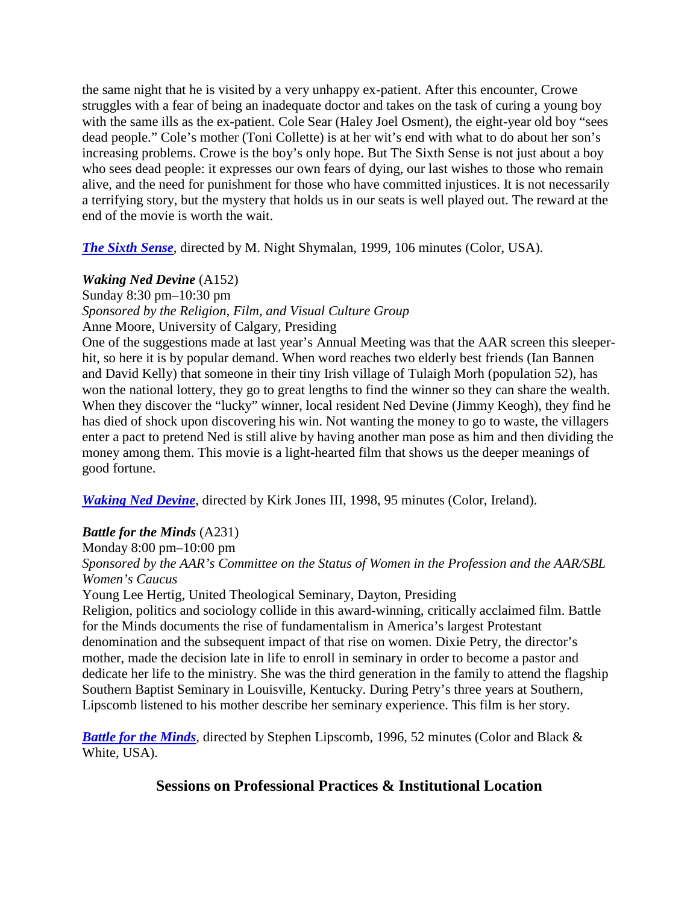the same night that he is visited by a very unhappy ex-patient. After this encounter, Crowe struggles with a fear of being an inadequate doctor and takes on the task of curing a young boy with the same ills as the ex-patient. Cole Sear (Haley Joel Osment), the eight-year old boy "sees dead people." Cole's mother (Toni Collette) is at her wit's end with what to do about her son's increasing problems. Crowe is the boy's only hope. But The Sixth Sense is not just about a boy who sees dead people: it expresses our own fears of dying, our last wishes to those who remain alive, and the need for punishment for those who have committed injustices. It is not necessarily a terrifying story, but the mystery that holds us in our seats is well played out. The reward at the end of the movie is worth the wait.

*The Sixth Sense*, directed by M. Night Shymalan, 1999, 106 minutes (Color, USA).

#### *Waking Ned Devine* (A152)

Sunday 8:30 pm–10:30 pm *Sponsored by the Religion, Film, and Visual Culture Group* Anne Moore, University of Calgary, Presiding

One of the suggestions made at last year's Annual Meeting was that the AAR screen this sleeperhit, so here it is by popular demand. When word reaches two elderly best friends (Ian Bannen and David Kelly) that someone in their tiny Irish village of Tulaigh Morh (population 52), has won the national lottery, they go to great lengths to find the winner so they can share the wealth. When they discover the "lucky" winner, local resident Ned Devine (Jimmy Keogh), they find he has died of shock upon discovering his win. Not wanting the money to go to waste, the villagers enter a pact to pretend Ned is still alive by having another man pose as him and then dividing the money among them. This movie is a light-hearted film that shows us the deeper meanings of good fortune.

*Waking Ned Devine*, directed by Kirk Jones III, 1998, 95 minutes (Color, Ireland).

#### *Battle for the Minds* (A231)

Monday 8:00 pm–10:00 pm

*Sponsored by the AAR's Committee on the Status of Women in the Profession and the AAR/SBL Women's Caucus*

Young Lee Hertig, United Theological Seminary, Dayton, Presiding

Religion, politics and sociology collide in this award-winning, critically acclaimed film. Battle for the Minds documents the rise of fundamentalism in America's largest Protestant denomination and the subsequent impact of that rise on women. Dixie Petry, the director's mother, made the decision late in life to enroll in seminary in order to become a pastor and dedicate her life to the ministry. She was the third generation in the family to attend the flagship Southern Baptist Seminary in Louisville, Kentucky. During Petry's three years at Southern, Lipscomb listened to his mother describe her seminary experience. This film is her story.

*Battle for the Minds*, directed by Stephen Lipscomb, 1996, 52 minutes (Color and Black & White, USA).

# **Sessions on Professional Practices & Institutional Location**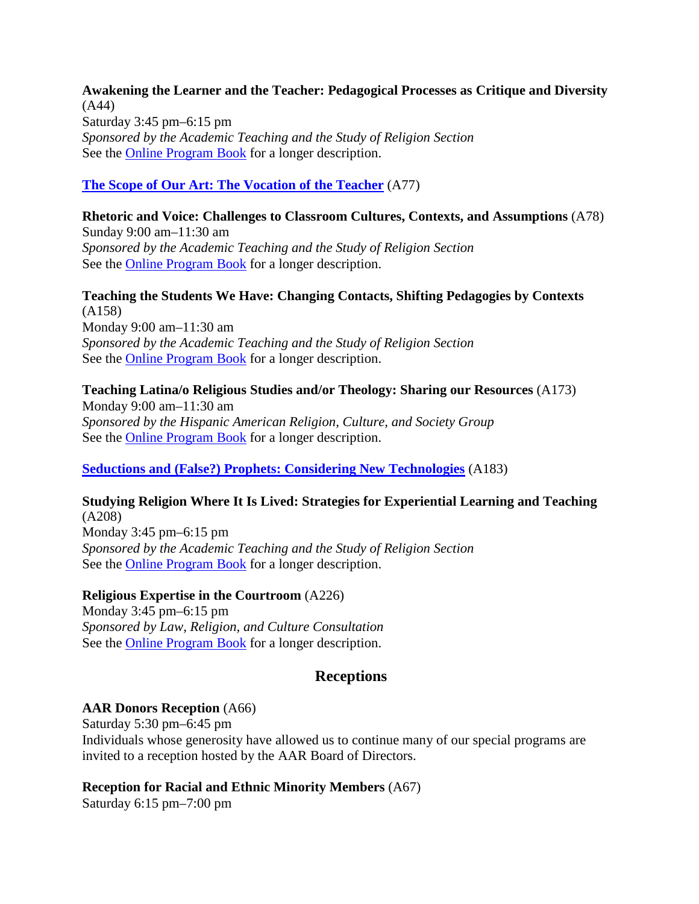**Awakening the Learner and the Teacher: Pedagogical Processes as Critique and Diversity** (A44) Saturday 3:45 pm–6:15 pm *Sponsored by the Academic Teaching and the Study of Religion Section* See the Online Program Book for a longer description.

#### **The Scope of Our Art: The Vocation of the Teacher** (A77)

# **Rhetoric and Voice: Challenges to Classroom Cultures, Contexts, and Assumptions** (A78) Sunday 9:00 am–11:30 am *Sponsored by the Academic Teaching and the Study of Religion Section*

See the Online Program Book for a longer description.

# **Teaching the Students We Have: Changing Contacts, Shifting Pedagogies by Contexts** (A158)

Monday 9:00 am–11:30 am *Sponsored by the Academic Teaching and the Study of Religion Section* See the **Online Program Book** for a longer description.

#### **Teaching Latina/o Religious Studies and/or Theology: Sharing our Resources** (A173)

Monday 9:00 am–11:30 am *Sponsored by the Hispanic American Religion, Culture, and Society Group* See the Online Program Book for a longer description.

**Seductions and (False?) Prophets: Considering New Technologies** (A183)

## **Studying Religion Where It Is Lived: Strategies for Experiential Learning and Teaching** (A208)

Monday 3:45 pm–6:15 pm *Sponsored by the Academic Teaching and the Study of Religion Section* See the **Online Program Book** for a longer description.

#### **Religious Expertise in the Courtroom** (A226)

Monday 3:45 pm–6:15 pm *Sponsored by Law, Religion, and Culture Consultation* See the Online Program Book for a longer description.

## **Receptions**

## **AAR Donors Reception** (A66)

Saturday 5:30 pm–6:45 pm Individuals whose generosity have allowed us to continue many of our special programs are invited to a reception hosted by the AAR Board of Directors.

#### **Reception for Racial and Ethnic Minority Members** (A67)

Saturday 6:15 pm–7:00 pm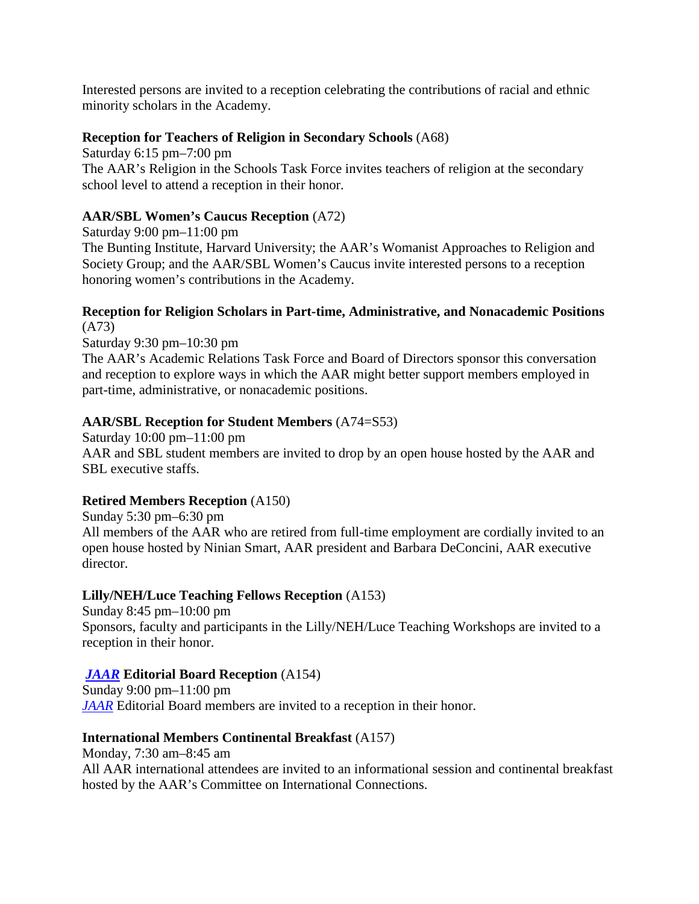Interested persons are invited to a reception celebrating the contributions of racial and ethnic minority scholars in the Academy.

#### **Reception for Teachers of Religion in Secondary Schools** (A68)

Saturday 6:15 pm–7:00 pm The AAR's Religion in the Schools Task Force invites teachers of religion at the secondary school level to attend a reception in their honor.

#### **AAR/SBL Women's Caucus Reception** (A72)

Saturday 9:00 pm–11:00 pm

The Bunting Institute, Harvard University; the AAR's Womanist Approaches to Religion and Society Group; and the AAR/SBL Women's Caucus invite interested persons to a reception honoring women's contributions in the Academy.

#### **Reception for Religion Scholars in Part-time, Administrative, and Nonacademic Positions** (A73)

Saturday 9:30 pm–10:30 pm

The AAR's Academic Relations Task Force and Board of Directors sponsor this conversation and reception to explore ways in which the AAR might better support members employed in part-time, administrative, or nonacademic positions.

#### **AAR/SBL Reception for Student Members** (A74=S53)

Saturday 10:00 pm–11:00 pm AAR and SBL student members are invited to drop by an open house hosted by the AAR and SBL executive staffs.

#### **Retired Members Reception** (A150)

Sunday 5:30 pm–6:30 pm All members of the AAR who are retired from full-time employment are cordially invited to an open house hosted by Ninian Smart, AAR president and Barbara DeConcini, AAR executive director.

#### **Lilly/NEH/Luce Teaching Fellows Reception** (A153)

Sunday 8:45 pm–10:00 pm Sponsors, faculty and participants in the Lilly/NEH/Luce Teaching Workshops are invited to a reception in their honor.

#### *JAAR* **Editorial Board Reception** (A154)

Sunday 9:00 pm–11:00 pm *JAAR* Editorial Board members are invited to a reception in their honor.

#### **International Members Continental Breakfast** (A157)

Monday, 7:30 am–8:45 am

All AAR international attendees are invited to an informational session and continental breakfast hosted by the AAR's Committee on International Connections.